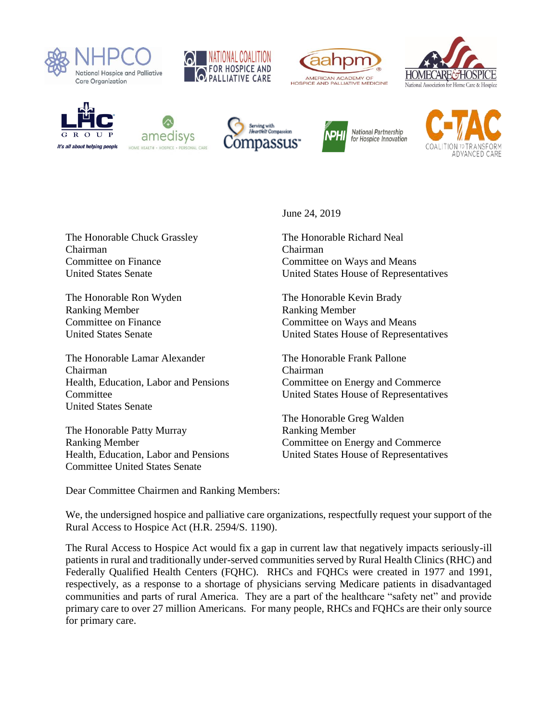

















The Honorable Chuck Grassley Chairman Committee on Finance United States Senate

The Honorable Ron Wyden Ranking Member Committee on Finance United States Senate

The Honorable Lamar Alexander Chairman Health, Education, Labor and Pensions **Committee** United States Senate

The Honorable Patty Murray Ranking Member Health, Education, Labor and Pensions Committee United States Senate

June 24, 2019

The Honorable Richard Neal Chairman Committee on Ways and Means United States House of Representatives

The Honorable Kevin Brady Ranking Member Committee on Ways and Means United States House of Representatives

The Honorable Frank Pallone Chairman Committee on Energy and Commerce United States House of Representatives

The Honorable Greg Walden Ranking Member Committee on Energy and Commerce United States House of Representatives

Dear Committee Chairmen and Ranking Members:

We, the undersigned hospice and palliative care organizations, respectfully request your support of the Rural Access to Hospice Act (H.R. 2594/S. 1190).

The Rural Access to Hospice Act would fix a gap in current law that negatively impacts seriously-ill patients in rural and traditionally under-served communities served by Rural Health Clinics (RHC) and Federally Qualified Health Centers (FQHC). RHCs and FQHCs were created in 1977 and 1991, respectively, as a response to a shortage of physicians serving Medicare patients in disadvantaged communities and parts of rural America. They are a part of the healthcare "safety net" and provide primary care to over 27 million Americans. For many people, RHCs and FQHCs are their only source for primary care.